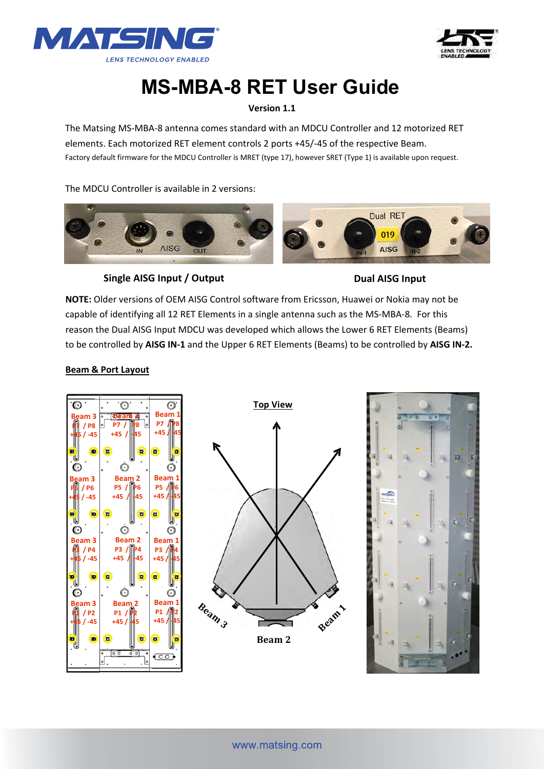



# **MS-MBA-8 RET User Guide**

### **Version 1.1**

The Matsing MS-MBA-8 antenna comes standard with an MDCU Controller and 12 motorized RET elements. Each motorized RET element controls 2 ports +45/-45 of the respective Beam. Factory default firmware for the MDCU Controller is MRET (type 17), however SRET (Type 1) is available upon request.

The MDCU Controller is available in 2 versions:



**Single AISG Input / Output**  Dual AISG Input

**NOTE:** Older versions of OEM AISG Control software from Ericsson, Huawei or Nokia may not be capable of identifying all 12 RET Elements in a single antenna such as the MS-MBA-8. For this reason the Dual AISG Input MDCU was developed which allows the Lower 6 RET Elements (Beams) to be controlled by **AISG IN-1** and the Upper 6 RET Elements (Beams) to be controlled by **AISG IN-2.**

#### **Beam & Port Layout**





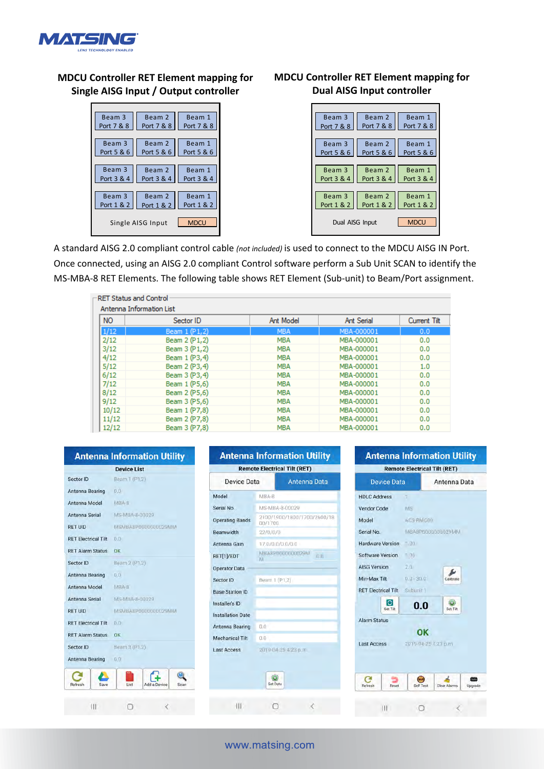

# **MDCU Controller RET Element mapping for Single AISG Input / Output controller**



## **MDCU Controller RET Element mapping for Dual AISG Input controller**



A standard AISG 2.0 compliant control cable *(not included)* is used to connect to the MDCU AISG IN Port. Once connected, using an AISG 2.0 compliant Control software perform a Sub Unit SCAN to identify the MS-MBA-8 RET Elements. The following table shows RET Element (Sub-unit) to Beam/Port assignment.

| <b>NO</b> | Sector ID     | Ant Model  | <b>Ant Serial</b> | Current Tilt |
|-----------|---------------|------------|-------------------|--------------|
| 1/12      | Beam 1 (P1,2) | <b>MBA</b> | MBA-000001        | 0.0          |
| 2/12      | Beam 2 (P1,2) | <b>MBA</b> | MBA-000001        | 0.0          |
| 3/12      | Beam 3 (P1,2) | <b>MBA</b> | MBA-000001        | 0.0          |
| 4/12      | Beam 1 (P3,4) | <b>MBA</b> | MBA-000001        | 0.0          |
| 5/12      | Beam 2 (P3,4) | <b>MBA</b> | MBA-000001        | 1.0          |
| 6/12      | Beam 3 (P3,4) | <b>MBA</b> | MBA-000001        | 0.0          |
| 7/12      | Beam 1 (P5,6) | <b>MBA</b> | MBA-000001        | 0.0          |
| 8/12      | Beam 2 (P5,6) | <b>MBA</b> | MBA-000001        | 0.0          |
| 9/12      | Beam 3 (P5,6) | <b>MBA</b> | MBA-000001        | 0.0          |
| 10/12     | Beam 1 (P7,8) | <b>MBA</b> | MBA-000001        | 0.0          |
| 11/12     | Beam 2 (P7,8) | <b>MBA</b> | MBA-000001        | 0.0          |
| 12/12     | Beam 3 (P7,8) | <b>MBA</b> | MBA-000001        | 0.0          |

#### www.matsing.com